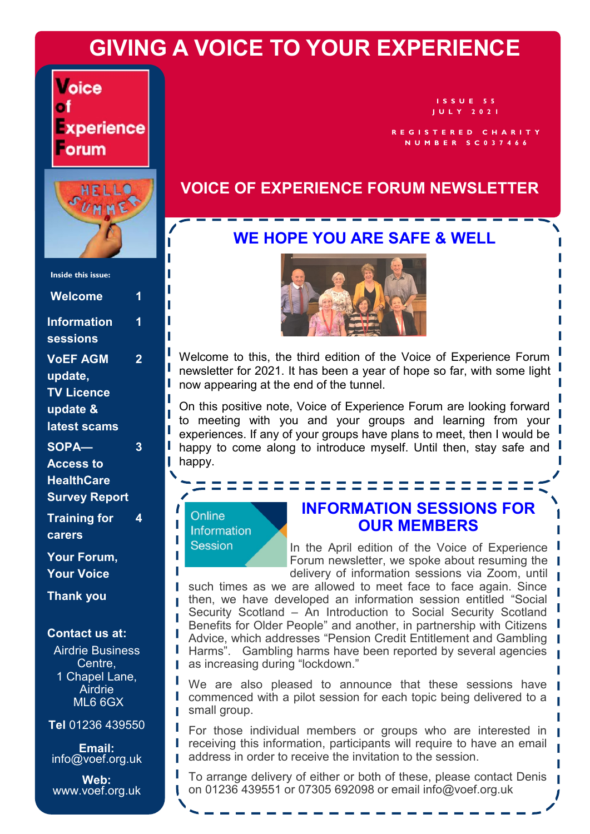# **GIVING A VOICE TO YOUR EXPERIENCE**

**Voice** of xperience orum



| <b>Inside this issue:</b> |   |
|---------------------------|---|
| <b>Welcome</b>            | 1 |
| <b>Information</b>        | 1 |
| <b>sessions</b>           |   |
| <b>VOEF AGM</b>           | 2 |
| update,                   |   |
| <b>TV Licence</b>         |   |
| update &                  |   |
| latest scams              |   |
| SOPA-                     | 3 |
| <b>Access to</b>          |   |
| <b>HealthCare</b>         |   |
| <b>Survey Report</b>      |   |
| <b>Training for</b>       | 4 |
| carers                    |   |
| Your Forum,               |   |
| <b>Your Voice</b>         |   |
| <b>Thank you</b>          |   |

#### **Contact us at:**

Airdrie Business Centre, 1 Chapel Lane, **Airdrie** ML6 6GX

**Tel** 01236 439550

**Email:**  info@voef.org.uk

**Web:**  www.voef.org.uk

U

**I S S U E 5 5 J U L Y 2 0 2 1**

**R E G I S T E R E D C H A R I T Y N U M B E R S C 0 3 7 4 6 6**

### **VOICE OF EXPERIENCE FORUM NEWSLETTER**

### **WE HOPE YOU ARE SAFE & WELL**



Welcome to this, the third edition of the Voice of Experience Forum newsletter for 2021. It has been a year of hope so far, with some light now appearing at the end of the tunnel.

On this positive note, Voice of Experience Forum are looking forward to meeting with you and your groups and learning from your experiences. If any of your groups have plans to meet, then I would be happy to come along to introduce myself. Until then, stay safe and happy.

#### Online Information **Session**

### **INFORMATION SESSIONS FOR OUR MEMBERS**

In the April edition of the Voice of Experience Forum newsletter, we spoke about resuming the delivery of information sessions via Zoom, until

such times as we are allowed to meet face to face again. Since then, we have developed an information session entitled "Social Security Scotland – An Introduction to Social Security Scotland Benefits for Older People" and another, in partnership with Citizens Advice, which addresses "Pension Credit Entitlement and Gambling Harms". Gambling harms have been reported by several agencies as increasing during "lockdown."

We are also pleased to announce that these sessions have commenced with a pilot session for each topic being delivered to a small group.

For those individual members or groups who are interested in receiving this information, participants will require to have an email address in order to receive the invitation to the session.

To arrange delivery of either or both of these, please contact Denis on 01236 439551 or 07305 692098 or email info@voef.org.uk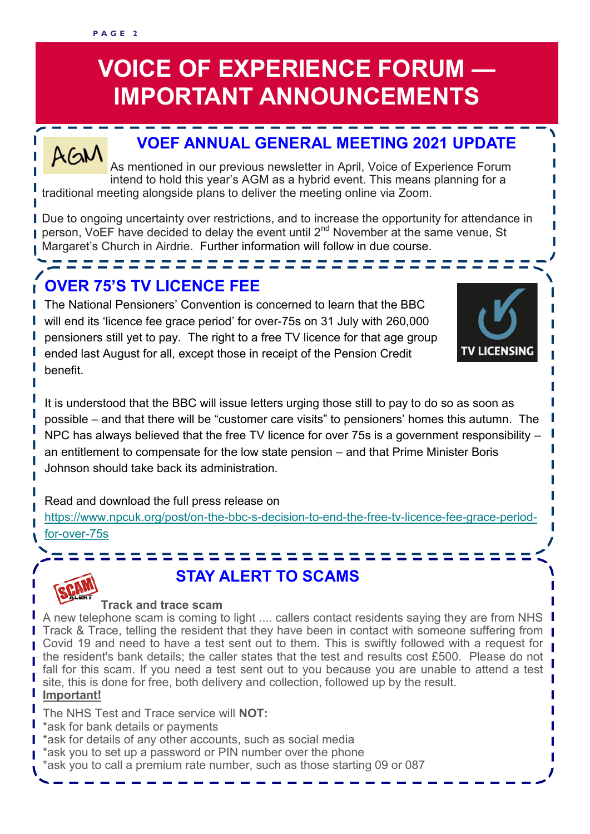#### **P A G E 2**

# **VOICE OF EXPERIENCE FORUM — IMPORTANT ANNOUNCEMENTS**

# **VOEF ANNUAL GENERAL MEETING 2021 UPDATE**

 $AGM$ As mentioned in our previous newsletter in April, Voice of Experience Forum intend to hold this year's AGM as a hybrid event. This means planning for a traditional meeting alongside plans to deliver the meeting online via Zoom.

Due to ongoing uncertainty over restrictions, and to increase the opportunity for attendance in person, VoEF have decided to delay the event until 2<sup>nd</sup> November at the same venue, St Margaret's Church in Airdrie. Further information will follow in due course.

# **OVER 75'S TV LICENCE FEE**

The National Pensioners' Convention is concerned to learn that the BBC will end its 'licence fee grace period' for over-75s on 31 July with 260,000 pensioners still yet to pay. The right to a free TV licence for that age group ended last August for all, except those in receipt of the Pension Credit benefit.

=========================



I I

It is understood that the BBC will issue letters urging those still to pay to do so as soon as possible – and that there will be "customer care visits" to pensioners' homes this autumn. The NPC has always believed that the free TV licence for over 75s is a government responsibility – an entitlement to compensate for the low state pension – and that Prime Minister Boris Johnson should take back its administration.

Read and download the full press release on

[https://www.npcuk.org/post/on](https://npcuk.us3.list-manage.com/track/click?u=d507a15865828a61fb0dcf802&id=7063f87fd1&e=6a9ed430a9)-the-bbc-s-decision-to-end-the-free-tv-licence-fee-grace-periodfor-[over](https://npcuk.us3.list-manage.com/track/click?u=d507a15865828a61fb0dcf802&id=7063f87fd1&e=6a9ed430a9)-75s

====



# **STAY ALERT TO SCAMS**

#### **Track and trace scam**

A new telephone scam is coming to light .... callers contact residents saying they are from NHS Track & Trace, telling the resident that they have been in contact with someone suffering from Covid 19 and need to have a test sent out to them. This is swiftly followed with a request for the resident's bank details; the caller states that the test and results cost £500. Please do not fall for this scam. If you need a test sent out to you because you are unable to attend a test site, this is done for free, both delivery and collection, followed up by the result.

### **Important!**

The NHS Test and Trace service will **NOT:**

- \*ask for bank details or payments
- \*ask for details of any other accounts, such as social media
- \*ask you to set up a password or PIN number over the phone
- \*ask you to call a premium rate number, such as those starting 09 or 087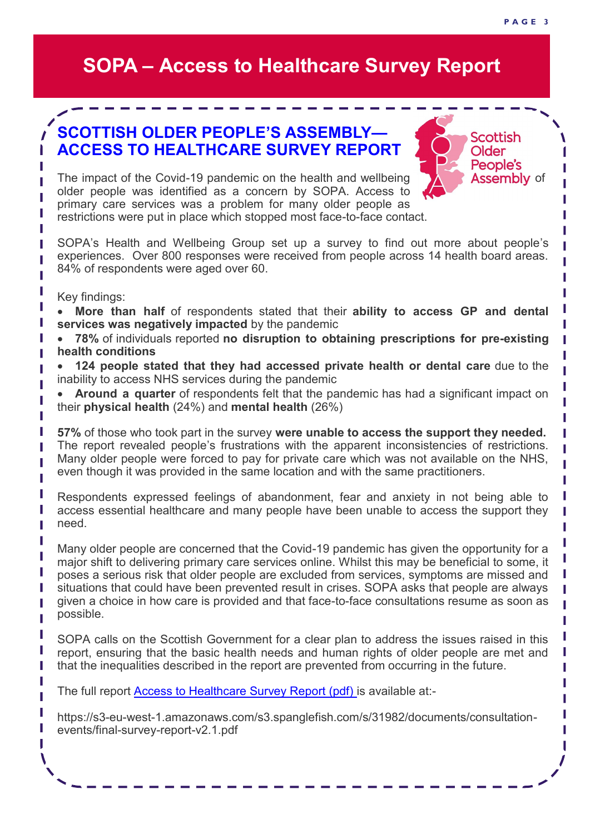# **SOPA – Access to Healthcare Survey Report**

### **SCOTTISH OLDER PEOPLE'S ASSEMBLY— ACCESS TO HEALTHCARE SURVEY REPORT**

The impact of the Covid-19 pandemic on the health and wellbeing **the same Assembly** of older people was identified as a concern by SOPA. Access to primary care services was a problem for many older people as restrictions were put in place which stopped most face-to-face contact.

SOPA's Health and Wellbeing Group set up a survey to find out more about people's experiences. Over 800 responses were received from people across 14 health board areas. 84% of respondents were aged over 60.

Key findings:

ı

ı П Π

Π П Π Г Π Π Π П П

Г

Т

П П П T

ı ı ı ı

• **More than half** of respondents stated that their **ability to access GP and dental services was negatively impacted** by the pandemic

• **78%** of individuals reported **no disruption to obtaining prescriptions for pre-existing health conditions**

• **124 people stated that they had accessed private health or dental care** due to the inability to access NHS services during the pandemic

• **Around a quarter** of respondents felt that the pandemic has had a significant impact on their **physical health** (24%) and **mental health** (26%)

**57%** of those who took part in the survey **were unable to access the support they needed.** The report revealed people's frustrations with the apparent inconsistencies of restrictions. Many older people were forced to pay for private care which was not available on the NHS, even though it was provided in the same location and with the same practitioners.

Respondents expressed feelings of abandonment, fear and anxiety in not being able to access essential healthcare and many people have been unable to access the support they need.

Many older people are concerned that the Covid-19 pandemic has given the opportunity for a major shift to delivering primary care services online. Whilst this may be beneficial to some, it poses a serious risk that older people are excluded from services, symptoms are missed and situations that could have been prevented result in crises. SOPA asks that people are always given a choice in how care is provided and that face-to-face consultations resume as soon as possible.

SOPA calls on the Scottish Government for a clear plan to address the issues raised in this report, ensuring that the basic health needs and human rights of older people are met and that the inequalities described in the report are prevented from occurring in the future.

The full report [Access to Healthcare Survey Report \(pdf\) is](https://s3-eu-west-1.amazonaws.com/s3.spanglefish.com/s/31982/documents/consultation-events/final-survey-report-v2.1.pdf) available at:-

https://s3-eu-west-1.amazonaws.com/s3.spanglefish.com/s/31982/documents/consultationevents/final-survey-report-v2.1.pdf

**Scottish** Older People's